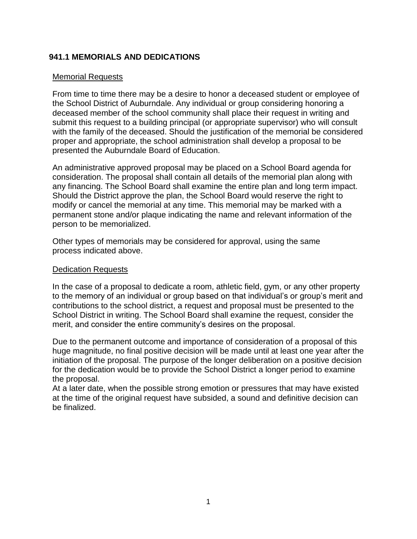## **941.1 MEMORIALS AND DEDICATIONS**

## Memorial Requests

From time to time there may be a desire to honor a deceased student or employee of the School District of Auburndale. Any individual or group considering honoring a deceased member of the school community shall place their request in writing and submit this request to a building principal (or appropriate supervisor) who will consult with the family of the deceased. Should the justification of the memorial be considered proper and appropriate, the school administration shall develop a proposal to be presented the Auburndale Board of Education.

An administrative approved proposal may be placed on a School Board agenda for consideration. The proposal shall contain all details of the memorial plan along with any financing. The School Board shall examine the entire plan and long term impact. Should the District approve the plan, the School Board would reserve the right to modify or cancel the memorial at any time. This memorial may be marked with a permanent stone and/or plaque indicating the name and relevant information of the person to be memorialized.

Other types of memorials may be considered for approval, using the same process indicated above.

## Dedication Requests

In the case of a proposal to dedicate a room, athletic field, gym, or any other property to the memory of an individual or group based on that individual's or group's merit and contributions to the school district, a request and proposal must be presented to the School District in writing. The School Board shall examine the request, consider the merit, and consider the entire community's desires on the proposal.

Due to the permanent outcome and importance of consideration of a proposal of this huge magnitude, no final positive decision will be made until at least one year after the initiation of the proposal. The purpose of the longer deliberation on a positive decision for the dedication would be to provide the School District a longer period to examine the proposal.

At a later date, when the possible strong emotion or pressures that may have existed at the time of the original request have subsided, a sound and definitive decision can be finalized.